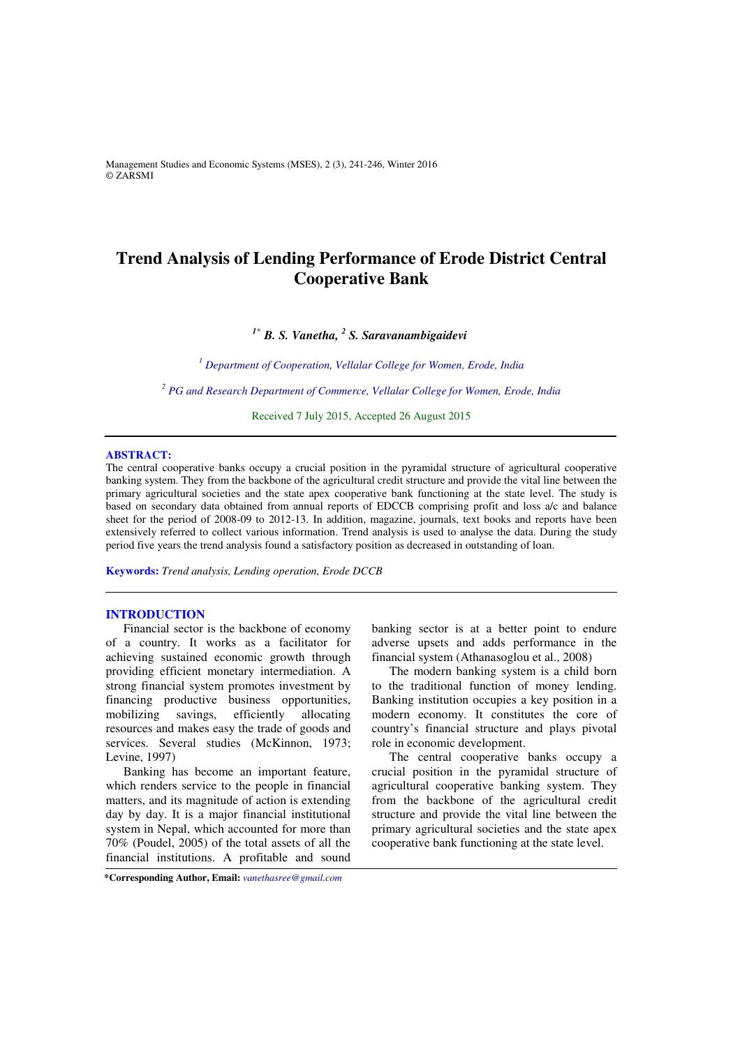Management Studies and Economic Systems (MSES), 2 (3), 241-246, Winter 2016 © ZARSMI

# **Trend Analysis of Lending Performance of Erode District Central Cooperative Bank**

*<sup>1</sup>\* B. S. Vanetha, <sup>2</sup> S. Saravanambigaidevi* 

<sup>1</sup> Department of Cooperation, Vellalar College for Women, Erode, India

<sup>2</sup> PG and Research Department of Commerce, Vellalar College for Women, Erode, India

Received 7 July 2015, Accepted 26 August 2015 

# **ABSTRACT:**

The central cooperative banks occupy a crucial position in the pyramidal structure of agricultural cooperative banking system. They from the backbone of the agricultural credit structure and provide the vital line between the primary agricultural societies and the state apex cooperative bank functioning at the state level. The study is based on secondary data obtained from annual reports of EDCCB comprising profit and loss a/c and balance sheet for the period of 2008-09 to 2012-13. In addition, magazine, journals, text books and reports have been extensively referred to collect various information. Trend analysis is used to analyse the data. During the study period five years the trend analysis found a satisfactory position as decreased in outstanding of loan.

**Keywords:** *Trend analysis, Lending operation, Erode DCCB*

### **INTRODUCTION**

Financial sector is the backbone of economy of a country. It works as a facilitator for achieving sustained economic growth through providing efficient monetary intermediation. A strong financial system promotes investment by financing productive business opportunities, mobilizing savings, efficiently allocating resources and makes easy the trade of goods and services. Several studies (McKinnon, 1973; Levine, 1997)

Banking has become an important feature, which renders service to the people in financial matters, and its magnitude of action is extending day by day. It is a major financial institutional system in Nepal, which accounted for more than 70% (Poudel, 2005) of the total assets of all the financial institutions. A profitable and sound

banking sector is at a better point to endure adverse upsets and adds performance in the financial system (Athanasoglou et al., 2008)

The modern banking system is a child born to the traditional function of money lending. Banking institution occupies a key position in a modern economy. It constitutes the core of country's financial structure and plays pivotal role in economic development.

The central cooperative banks occupy a crucial position in the pyramidal structure of agricultural cooperative banking system. They from the backbone of the agricultural credit structure and provide the vital line between the primary agricultural societies and the state apex cooperative bank functioning at the state level.

**\*Corresponding Author, Email:** *vanethasree@gmail.com*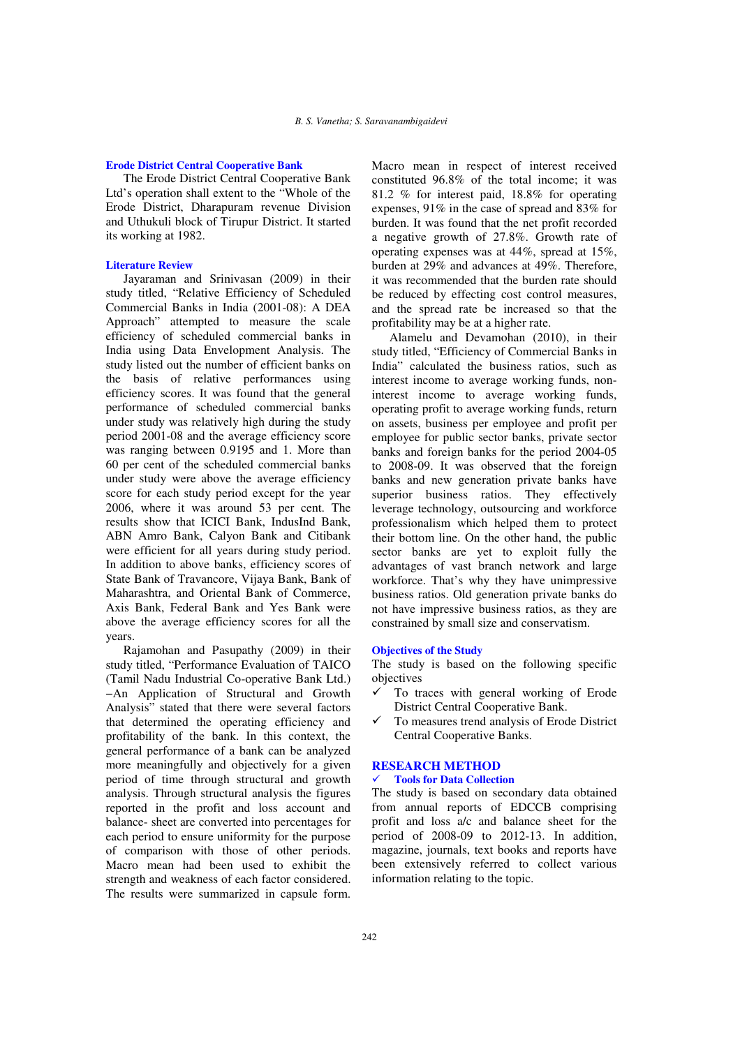### **Erode District Central Cooperative Bank**

The Erode District Central Cooperative Bank Ltd's operation shall extent to the "Whole of the Erode District, Dharapuram revenue Division and Uthukuli block of Tirupur District. It started its working at 1982.

### **Literature Review**

Jayaraman and Srinivasan (2009) in their study titled, "Relative Efficiency of Scheduled Commercial Banks in India (2001-08): A DEA Approach" attempted to measure the scale efficiency of scheduled commercial banks in India using Data Envelopment Analysis. The study listed out the number of efficient banks on the basis of relative performances using efficiency scores. It was found that the general performance of scheduled commercial banks under study was relatively high during the study period 2001-08 and the average efficiency score was ranging between 0.9195 and 1. More than 60 per cent of the scheduled commercial banks under study were above the average efficiency score for each study period except for the year 2006, where it was around 53 per cent. The results show that ICICI Bank, IndusInd Bank, ABN Amro Bank, Calyon Bank and Citibank were efficient for all years during study period. In addition to above banks, efficiency scores of State Bank of Travancore, Vijaya Bank, Bank of Maharashtra, and Oriental Bank of Commerce, Axis Bank, Federal Bank and Yes Bank were above the average efficiency scores for all the years.

Rajamohan and Pasupathy (2009) in their study titled, "Performance Evaluation of TAICO (Tamil Nadu Industrial Co-operative Bank Ltd.) −An Application of Structural and Growth Analysis" stated that there were several factors that determined the operating efficiency and profitability of the bank. In this context, the general performance of a bank can be analyzed more meaningfully and objectively for a given period of time through structural and growth analysis. Through structural analysis the figures reported in the profit and loss account and balance- sheet are converted into percentages for each period to ensure uniformity for the purpose of comparison with those of other periods. Macro mean had been used to exhibit the strength and weakness of each factor considered. The results were summarized in capsule form.

Macro mean in respect of interest received constituted 96.8% of the total income; it was 81.2 % for interest paid, 18.8% for operating expenses, 91% in the case of spread and 83% for burden. It was found that the net profit recorded a negative growth of 27.8%. Growth rate of operating expenses was at 44%, spread at 15%, burden at 29% and advances at 49%. Therefore, it was recommended that the burden rate should be reduced by effecting cost control measures, and the spread rate be increased so that the profitability may be at a higher rate.

Alamelu and Devamohan (2010), in their study titled, "Efficiency of Commercial Banks in India" calculated the business ratios, such as interest income to average working funds, noninterest income to average working funds, operating profit to average working funds, return on assets, business per employee and profit per employee for public sector banks, private sector banks and foreign banks for the period 2004-05 to 2008-09. It was observed that the foreign banks and new generation private banks have superior business ratios. They effectively leverage technology, outsourcing and workforce professionalism which helped them to protect their bottom line. On the other hand, the public sector banks are yet to exploit fully the advantages of vast branch network and large workforce. That's why they have unimpressive business ratios. Old generation private banks do not have impressive business ratios, as they are constrained by small size and conservatism.

#### **Objectives of the Study**

The study is based on the following specific objectives

- To traces with general working of Erode District Central Cooperative Bank.
- To measures trend analysis of Erode District Central Cooperative Banks.

# **RESEARCH METHOD**

#### **Tools for Data Collection**

The study is based on secondary data obtained from annual reports of EDCCB comprising profit and loss a/c and balance sheet for the period of 2008-09 to 2012-13. In addition, magazine, journals, text books and reports have been extensively referred to collect various information relating to the topic.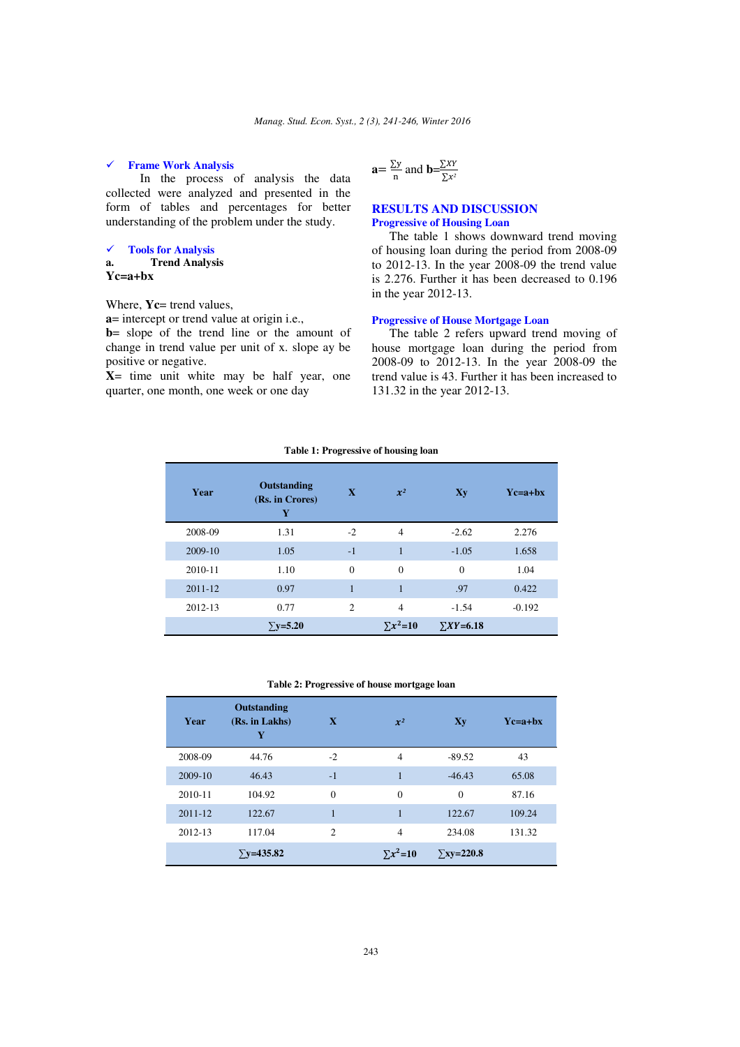# **Frame Work Analysis**

 In the process of analysis the data collected were analyzed and presented in the form of tables and percentages for better understanding of the problem under the study.

#### **Tools for Analysis a. Trend Analysis**

**Yc=a+bx** 

# Where, **Yc**= trend values,

**a**= intercept or trend value at origin i.e.,

**b**= slope of the trend line or the amount of change in trend value per unit of x. slope ay be positive or negative.

**X**= time unit white may be half year, one quarter, one month, one week or one day

$$
\mathbf{a} = \frac{\sum y}{n} \text{ and } \mathbf{b} = \frac{\sum XY}{\sum x^2}
$$

## **RESULTS AND DISCUSSION Progressive of Housing Loan**

The table 1 shows downward trend moving of housing loan during the period from 2008-09 to 2012-13. In the year 2008-09 the trend value is 2.276. Further it has been decreased to 0.196 in the year 2012-13.

# **Progressive of House Mortgage Loan**

The table 2 refers upward trend moving of house mortgage loan during the period from 2008-09 to 2012-13. In the year 2008-09 the trend value is 43. Further it has been increased to 131.32 in the year 2012-13.

# **Table 1: Progressive of housing loan**

| Year    | <b>Outstanding</b><br>(Rs. in Crores)<br>Y | $\overline{\mathbf{X}}$ | $\mathbf{x}^2$    | Xy                 | $Y_{c=a+bx}$ |
|---------|--------------------------------------------|-------------------------|-------------------|--------------------|--------------|
| 2008-09 | 1.31                                       | $-2$                    | $\overline{4}$    | $-2.62$            | 2.276        |
| 2009-10 | 1.05                                       | $-1$                    |                   | $-1.05$            | 1.658        |
| 2010-11 | 1.10                                       | $\theta$                | $\Omega$          | $\Omega$           | 1.04         |
| 2011-12 | 0.97                                       | 1                       | 1                 | .97                | 0.422        |
| 2012-13 | 0.77                                       | $\overline{2}$          | $\overline{4}$    | $-1.54$            | $-0.192$     |
|         | $\Sigma$ y=5.20                            |                         | $\Sigma x^2 = 10$ | $\Sigma XY = 6.18$ |              |

#### **Table 2: Progressive of house mortgage loan**

| Year        | Outstanding<br>(Rs. in Lakhs)<br>Y | X              | $\mathcal{X}^2$ | Xy                | $Yc=a+bx$ |
|-------------|------------------------------------|----------------|-----------------|-------------------|-----------|
| 2008-09     | 44.76                              | $-2$           | $\overline{4}$  | $-89.52$          | 43        |
| 2009-10     | 46.43                              | $-1$           | $\mathbf{1}$    | $-46.43$          | 65.08     |
| 2010-11     | 104.92                             | $\theta$       | $\theta$        | $\Omega$          | 87.16     |
| $2011 - 12$ | 122.67                             | 1              | 1               | 122.67            | 109.24    |
| 2012-13     | 117.04                             | $\overline{c}$ | $\overline{4}$  | 234.08            | 131.32    |
|             | $\Sigma$ v=435.82                  |                | $\Sigma x^2=10$ | $\Sigma$ xy=220.8 |           |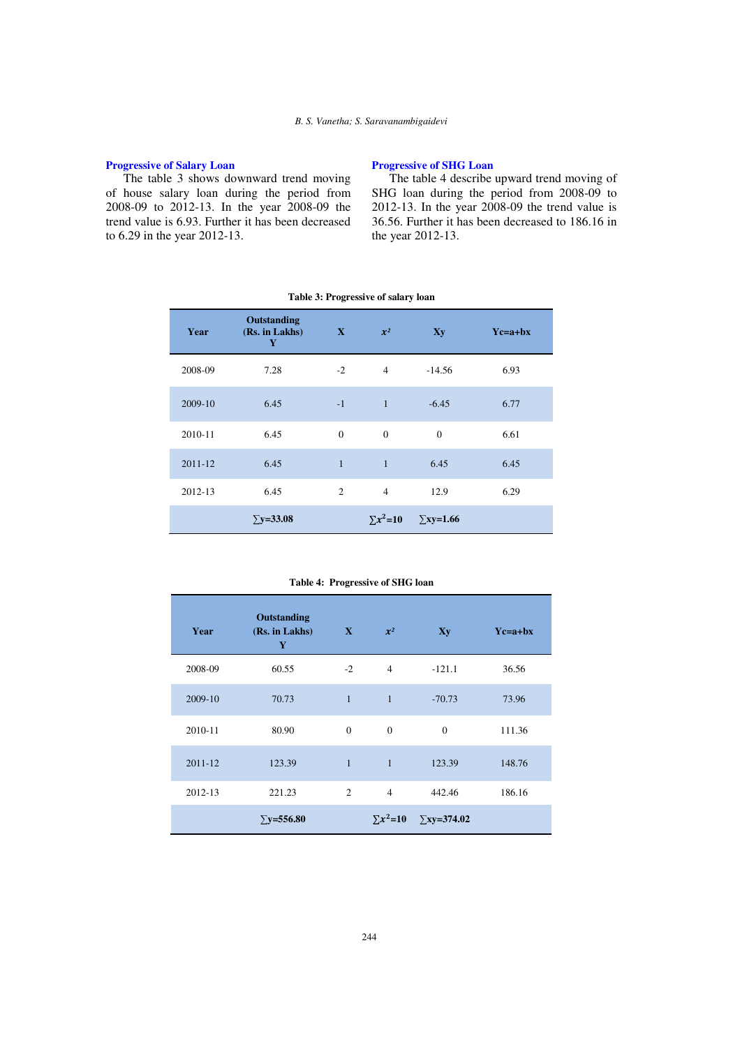# **Progressive of Salary Loan**

The table 3 shows downward trend moving of house salary loan during the period from 2008-09 to 2012-13. In the year 2008-09 the trend value is 6.93. Further it has been decreased to 6.29 in the year 2012-13.

# **Progressive of SHG Loan**

The table 4 describe upward trend moving of SHG loan during the period from 2008-09 to 2012-13. In the year 2008-09 the trend value is 36.56. Further it has been decreased to 186.16 in the year 2012-13.

| Year    | Outstanding<br>(Rs. in Lakhs)<br>Y | $\mathbf{X}$ | $x^2$             | Xy               | $Yc=a+bx$ |
|---------|------------------------------------|--------------|-------------------|------------------|-----------|
| 2008-09 | 7.28                               | $-2$         | $\overline{4}$    | $-14.56$         | 6.93      |
| 2009-10 | 6.45                               | $-1$         | $\mathbf{1}$      | $-6.45$          | 6.77      |
| 2010-11 | 6.45                               | $\Omega$     | $\theta$          | $\overline{0}$   | 6.61      |
| 2011-12 | 6.45                               | $\mathbf{1}$ | $\mathbf{1}$      | 6.45             | 6.45      |
| 2012-13 | 6.45                               | 2            | $\overline{4}$    | 12.9             | 6.29      |
|         | $\Sigma$ y=33.08                   |              | $\Sigma x^2 = 10$ | $\Sigma$ xy=1.66 |           |

#### **Table 3: Progressive of salary loan**

|  |  | Table 4: Progressive of SHG loan |  |
|--|--|----------------------------------|--|
|--|--|----------------------------------|--|

| Year    | Outstanding<br>(Rs. in Lakhs)<br>Y | $\mathbf{X}$   | $x^2$             | $\mathbf{X}\mathbf{y}$ | $Yc=a+bx$ |
|---------|------------------------------------|----------------|-------------------|------------------------|-----------|
| 2008-09 | 60.55                              | $-2$           | $\overline{4}$    | $-121.1$               | 36.56     |
| 2009-10 | 70.73                              | $\mathbf{1}$   | $\mathbf{1}$      | $-70.73$               | 73.96     |
| 2010-11 | 80.90                              | $\mathbf{0}$   | $\theta$          | $\mathbf{0}$           | 111.36    |
| 2011-12 | 123.39                             | $\mathbf{1}$   | $\mathbf{1}$      | 123.39                 | 148.76    |
| 2012-13 | 221.23                             | $\overline{2}$ | $\overline{4}$    | 442.46                 | 186.16    |
|         | $\Sigma$ y=556.80                  |                | $\Sigma x^2 = 10$ | $\Sigma$ xy=374.02     |           |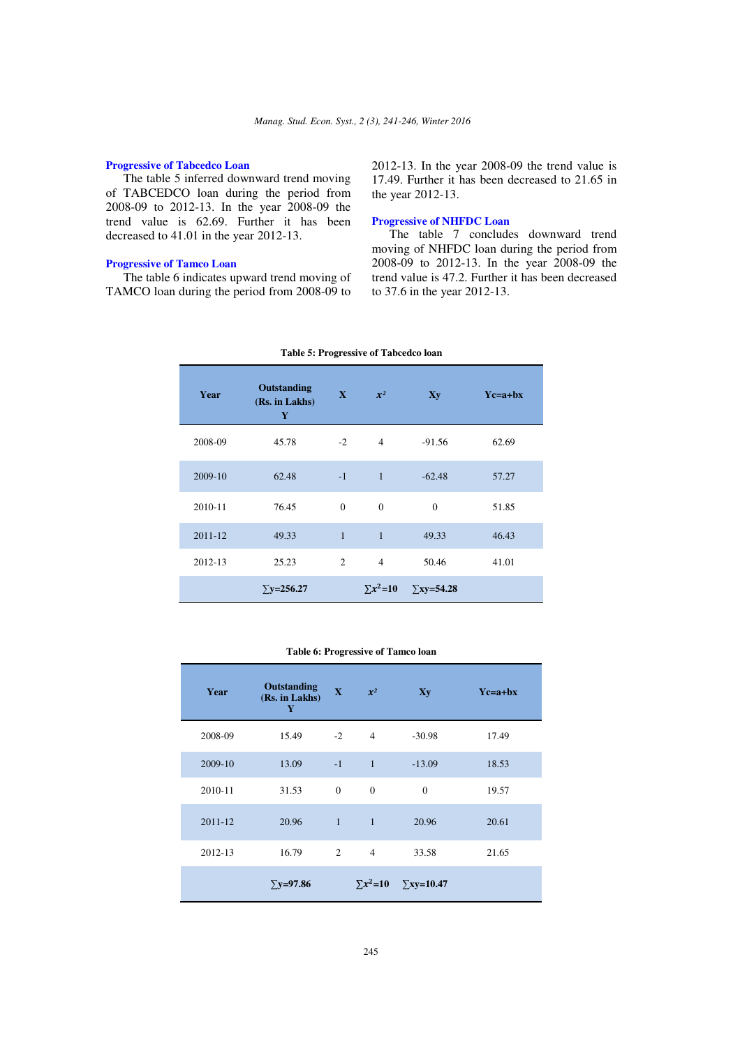## **Progressive of Tabcedco Loan**

The table 5 inferred downward trend moving of TABCEDCO loan during the period from 2008-09 to 2012-13. In the year 2008-09 the trend value is 62.69. Further it has been decreased to 41.01 in the year 2012-13.

## **Progressive of Tamco Loan**

The table 6 indicates upward trend moving of TAMCO loan during the period from 2008-09 to 2012-13. In the year 2008-09 the trend value is 17.49. Further it has been decreased to 21.65 in the year 2012-13.

## **Progressive of NHFDC Loan**

The table 7 concludes downward trend moving of NHFDC loan during the period from 2008-09 to 2012-13. In the year 2008-09 the trend value is 47.2. Further it has been decreased to 37.6 in the year 2012-13.

| Year    | <b>Outstanding</b><br>(Rs. in Lakhs)<br>Y | $\mathbf{X}$   | $x^2$             | $\mathbf{X}\mathbf{y}$ | $Yc=a+bx$ |
|---------|-------------------------------------------|----------------|-------------------|------------------------|-----------|
| 2008-09 | 45.78                                     | $-2$           | $\overline{4}$    | $-91.56$               | 62.69     |
| 2009-10 | 62.48                                     | $-1$           | $\overline{1}$    | $-62.48$               | 57.27     |
| 2010-11 | 76.45                                     | $\Omega$       | $\Omega$          | $\theta$               | 51.85     |
| 2011-12 | 49.33                                     | $\mathbf{1}$   | $\mathbf{1}$      | 49.33                  | 46.43     |
| 2012-13 | 25.23                                     | $\overline{2}$ | $\overline{4}$    | 50.46                  | 41.01     |
|         | $\Sigma$ y=256.27                         |                | $\Sigma x^2 = 10$ | $\Sigma$ xy=54.28      |           |

**Table 5: Progressive of Tabcedco loan** 

#### **Table 6: Progressive of Tamco loan**

| Year    | Outstanding<br>(Rs. in Lakhs)<br>Y | $\mathbf{X}$   | $x^2$          | $\mathbf{X}\mathbf{y}$                | $Yc=a+bx$ |
|---------|------------------------------------|----------------|----------------|---------------------------------------|-----------|
| 2008-09 | 15.49                              | $-2$           | $\overline{4}$ | $-30.98$                              | 17.49     |
| 2009-10 | 13.09                              | $-1$           | $\overline{1}$ | $-13.09$                              | 18.53     |
| 2010-11 | 31.53                              | $\overline{0}$ | $\mathbf{0}$   | $\Omega$                              | 19.57     |
| 2011-12 | 20.96                              | $1 -$          | $\overline{1}$ | 20.96                                 | 20.61     |
| 2012-13 | 16.79                              | $\overline{2}$ | $\overline{4}$ | 33.58                                 | 21.65     |
|         | $\Sigma$ y=97.86                   |                |                | $\Sigma x^2 = 10$ $\Sigma xy = 10.47$ |           |